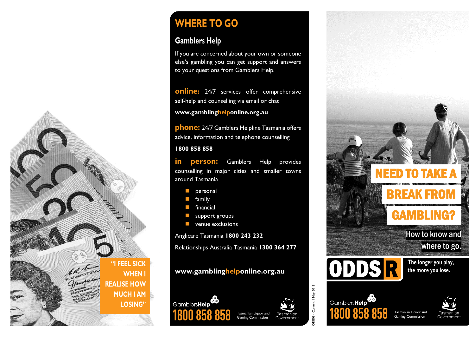

# **WHERE TO GO**

# **Gamblers Help**

If you are concerned about your own or someone else's gambling you can get support and answers to your questions from Gamblers Help.

**online:** 24/7 services offer comprehensive self-help and counselling via email or chat **[www.gamblinghelponline.org.au](http://www.gamblinghelponline.org.au/)**

**phone:** 24/7 Gamblers Helpline Tasmania offers advice, information and telephone counselling

#### **1800 858 858**

**in person:** Gamblers Help provides counselling in major cities and smaller towns around Tasmania

- **n** personal
- **family**
- **Financial**
- support groups
- **venue exclusions**

Anglicare Tasmania **1800 243 232**

Relationships Australia Tasmania **1300 364 277**

## **[www.gamblinghelponline.org.au](http://www.gamblinghelponline.org.au/)**



Tasmanian Liquor and Tasmanian Gaming Commission Government





ORB03 - Current 1 May 2018

**DRB03 - Cur** 

ent | May 2018